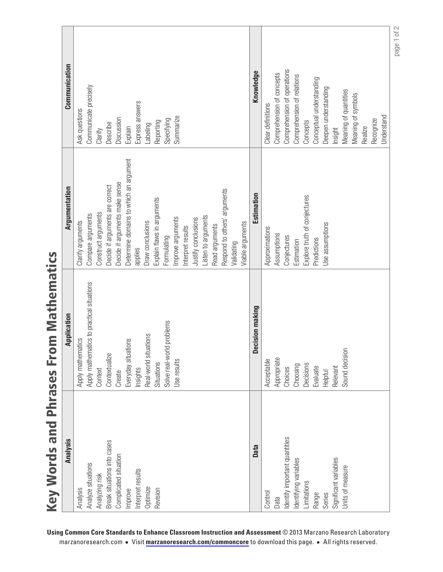| Communication | Ask questions          | Communicate precisely                     | Clarify             | Describe                        | Discussion                     | Explain                                | Express answers   | Labeling              | Reporting                  | Specifying                | Summarize         |                   |                     |                     |                |                              |            |                  | Knowledge       | Clear definitions | Comprehension of concepts | Comprehension of operations   | Comprehension of relations | Concepts                     | Conceptual understanding | Deepen understanding | Insight               | Meaning of quantities | Meaning of symbols | Realize | Recognize | Understand |
|---------------|------------------------|-------------------------------------------|---------------------|---------------------------------|--------------------------------|----------------------------------------|-------------------|-----------------------|----------------------------|---------------------------|-------------------|-------------------|---------------------|---------------------|----------------|------------------------------|------------|------------------|-----------------|-------------------|---------------------------|-------------------------------|----------------------------|------------------------------|--------------------------|----------------------|-----------------------|-----------------------|--------------------|---------|-----------|------------|
| Argumentation | Clarify arguments      | Compare arguments                         | Construct arguments | Decide if arguments are correct | Decide if arguments make sense | Determine domains to which an argument | applies           | Draw conclusions      | Explain flaws in arguments | Formulating               | Improve arguments | Interpret results | Justify conclusions | Listen to arguments | Read arguments | Respond to others' arguments | Validating | Viable arguments | Estimation      | Approximations    | Assumptions               | Conjectures                   | Estimation                 | Explore truth of conjectures | Predictions              | Jse assumptions      |                       |                       |                    |         |           |            |
| Application   | natics<br>Apply mathem | Apply mathematics to practical situations | Context             | Contextualize                   | Create                         | Everyday situations                    | Insights          | Real-world situations | Situations                 | Solve real-world problems | Use results       |                   |                     |                     |                |                              |            |                  | Decision making | Acceptable        | Appropriate               | Choices                       | Choosing                   | Decisions                    | Evaluate                 | Helpful              | Relevant              | Sound decision        |                    |         |           |            |
| Analysis      | Analysis               | Analyze situations                        | Analyzing risk      | Break situations into cases     | Complicated situation          | Improve                                | Interpret results | Optimize              | Revision                   |                           |                   |                   |                     |                     |                |                              |            |                  | Data            | Control           | Data                      | Identify important quantities | Identifying variables      | Limitations                  | Range                    | Series               | Significant variables | Units of measure      |                    |         |           |            |

page 1 of 2

Key Words and Phrases From Mathematics Key Words and Phrases From Mathematics

> **Using Common Core Standards to Enhance Classroom Instruction and Assessment** © 2013 Marzano Research Laboratory marzanoresearch.com **•** Visit **[marzanoresearch.com/commoncore](www.marzanoresearch.com/commoncore)** to download this page. **•** All rights reserved.